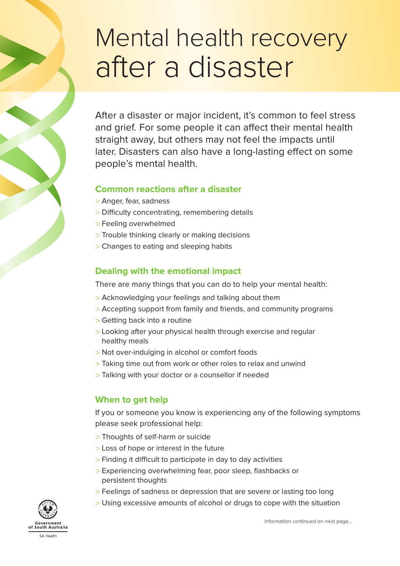# Mental health recovery after a disaster

After a disaster or major incident, it's common to feel stress and grief. For some people it can affect their mental health straight away, but others may not feel the impacts until later. Disasters can also have a long-lasting effect on some people's mental health.

#### **Common reactions after a disaster**

- > Anger, fear, sadness
- > Difficulty concentrating, remembering details
- > Feeling overwhelmed
- > Trouble thinking clearly or making decisions
- > Changes to eating and sleeping habits

#### **Dealing with the emotional impact**

There are many things that you can do to help your mental health:

- > Acknowledging your feelings and talking about them
- > Accepting support from family and friends, and community programs
- > Getting back into a routine
- > Looking after your physical health through exercise and regular healthy meals
- > Not over-indulging in alcohol or comfort foods
- > Taking time out from work or other roles to relax and unwind
- > Talking with your doctor or a counsellor if needed

#### **When to get help**

If you or someone you know is experiencing any of the following symptoms please seek professional help:

- > Thoughts of self-harm or suicide
- > Loss of hope or interest in the future
- > Finding it difficult to participate in day to day activities
- > Experiencing overwhelming fear, poor sleep, flashbacks or persistent thoughts
- > Feelings of sadness or depression that are severe or lasting too long
- > Using excessive amounts of alcohol or drugs to cope with the situation